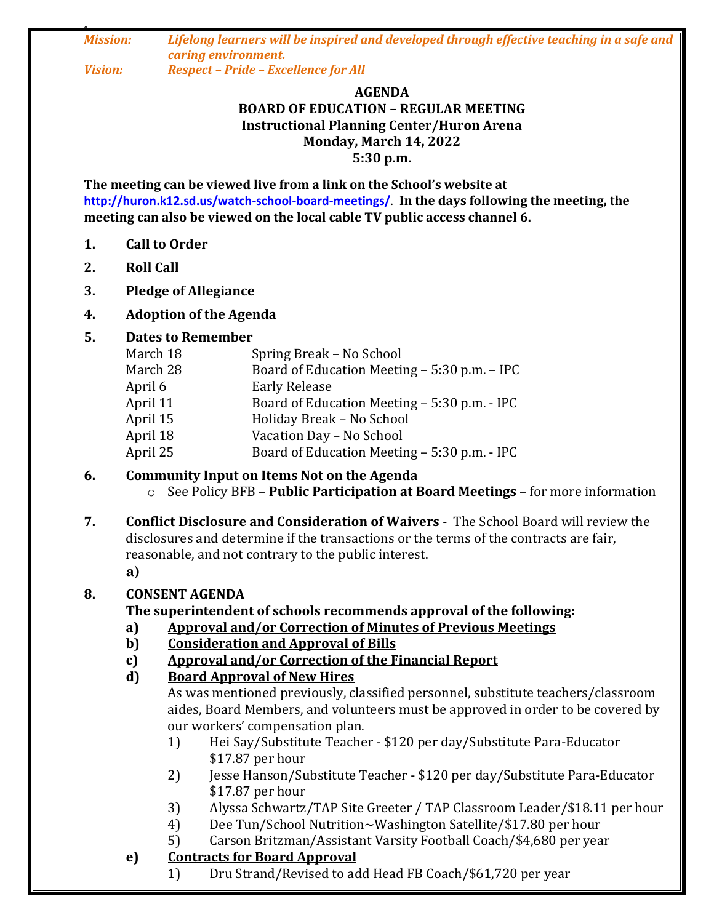*0 Mission: Lifelong learners will be inspired and developed through effective teaching in a safe and caring environment. Vision: Respect – Pride – Excellence for All*

#### **AGENDA BOARD OF EDUCATION – REGULAR MEETING Instructional Planning Center/Huron Arena Monday, March 14, 2022 5:30 p.m.**

**The meeting can be viewed live from a link on the School's website at http://huron.k12.sd.us/watch-school-board-meetings/**. **In the days following the meeting, the meeting can also be viewed on the local cable TV public access channel 6.**

- **1. Call to Order**
- **2. Roll Call**
- **3. Pledge of Allegiance**

# **4. Adoption of the Agenda**

## **5. Dates to Remember**

| March 18<br>Spring Break - No School                     |  |
|----------------------------------------------------------|--|
| March 28<br>Board of Education Meeting - 5:30 p.m. - IPC |  |
| <b>Early Release</b><br>April 6                          |  |
| April 11<br>Board of Education Meeting - 5:30 p.m. - IPC |  |
| Holiday Break - No School<br>April 15                    |  |
| April 18<br>Vacation Day - No School                     |  |
| Board of Education Meeting - 5:30 p.m. - IPC<br>April 25 |  |

#### **6. Community Input on Items Not on the Agenda** o See Policy BFB – **Public Participation at Board Meetings** – for more information

**7. Conflict Disclosure and Consideration of Waivers** - The School Board will review the disclosures and determine if the transactions or the terms of the contracts are fair, reasonable, and not contrary to the public interest. **a)**

### **8. CONSENT AGENDA**

# **The superintendent of schools recommends approval of the following:**

- **a) Approval and/or Correction of Minutes of Previous Meetings**
- **b) Consideration and Approval of Bills**
- **c) Approval and/or Correction of the Financial Report**
- **d) Board Approval of New Hires**

As was mentioned previously, classified personnel, substitute teachers/classroom aides, Board Members, and volunteers must be approved in order to be covered by our workers' compensation plan.

- 1) Hei Say/Substitute Teacher \$120 per day/Substitute Para-Educator \$17.87 per hour
- 2) Jesse Hanson/Substitute Teacher \$120 per day/Substitute Para-Educator \$17.87 per hour
- 3) Alyssa Schwartz/TAP Site Greeter / TAP Classroom Leader/\$18.11 per hour
- 4) Dee Tun/School Nutrition~Washington Satellite/\$17.80 per hour
- 5) Carson Britzman/Assistant Varsity Football Coach/\$4,680 per year
- **e) Contracts for Board Approval**
	- 1) Dru Strand/Revised to add Head FB Coach/\$61,720 per year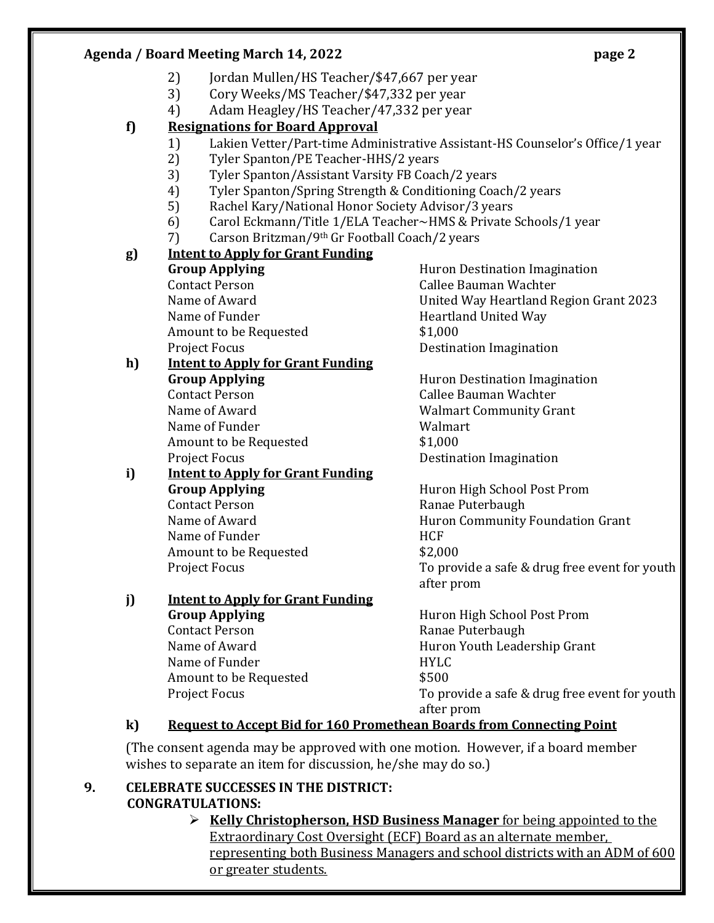### **Agenda / Board Meeting March 14, 2022 page 2**

- 2) Jordan Mullen/HS Teacher/\$47,667 per year
- 3) Cory Weeks/MS Teacher/\$47,332 per year
- 4) Adam Heagley/HS Teacher/47,332 per year

### **f) Resignations for Board Approval**

- 1) Lakien Vetter/Part-time Administrative Assistant-HS Counselor's Office/1 year
- 2) Tyler Spanton/PE Teacher-HHS/2 years
- 3) Tyler Spanton/Assistant Varsity FB Coach/2 years
- 4) Tyler Spanton/Spring Strength & Conditioning Coach/2 years
- 5) Rachel Kary/National Honor Society Advisor/3 years
- 6) Carol Eckmann/Title 1/ELA Teacher~HMS & Private Schools/1 year
- 7) Carson Britzman/9th Gr Football Coach/2 years

### **g) Intent to Apply for Grant Funding**

Contact Person Callee Bauman Wachter Name of Funder **Heartland United Way** Amount to be Requested  $$1,000$ Project Focus **Destination** Destination Imagination

#### **h) Intent to Apply for Grant Funding Group Applying Huron Destination Imagination** Contact Person Callee Bauman Wachter

Name of Funder Name Walmart Amount to be Requested  $$1,000$ Project Focus **Destination** Imagination

# **i) Intent to Apply for Grant Funding Group Applying Huron High School Post Prom** Contact Person **Ranae Puterbaugh** Name of Funder **HCF** Amount to be Requested  $$2,000$

#### **j) Intent to Apply for Grant Funding Group Applying Huron High School Post Prom** Contact Person **Ranae Puterbaugh**

Name of Funder **HYLC** Amount to be Requested  $$500$ 

**Group Applying Example 20 Following Huron Destination Imagination** Name of Award United Way Heartland Region Grant 2023

Name of Award Walmart Community Grant

Name of Award **Huron Community Foundation Grant** Project Focus To provide a safe & drug free event for youth after prom

Name of Award **Huron Youth Leadership Grant** Project Focus To provide a safe & drug free event for youth after prom

# **k) Request to Accept Bid for 160 Promethean Boards from Connecting Point**

(The consent agenda may be approved with one motion. However, if a board member wishes to separate an item for discussion, he/she may do so.)

### **9. CELEBRATE SUCCESSES IN THE DISTRICT: CONGRATULATIONS:**

 **Kelly Christopherson, HSD Business Manager** for being appointed to the Extraordinary Cost Oversight (ECF) Board as an alternate member, representing both Business Managers and school districts with an ADM of 600 or greater students.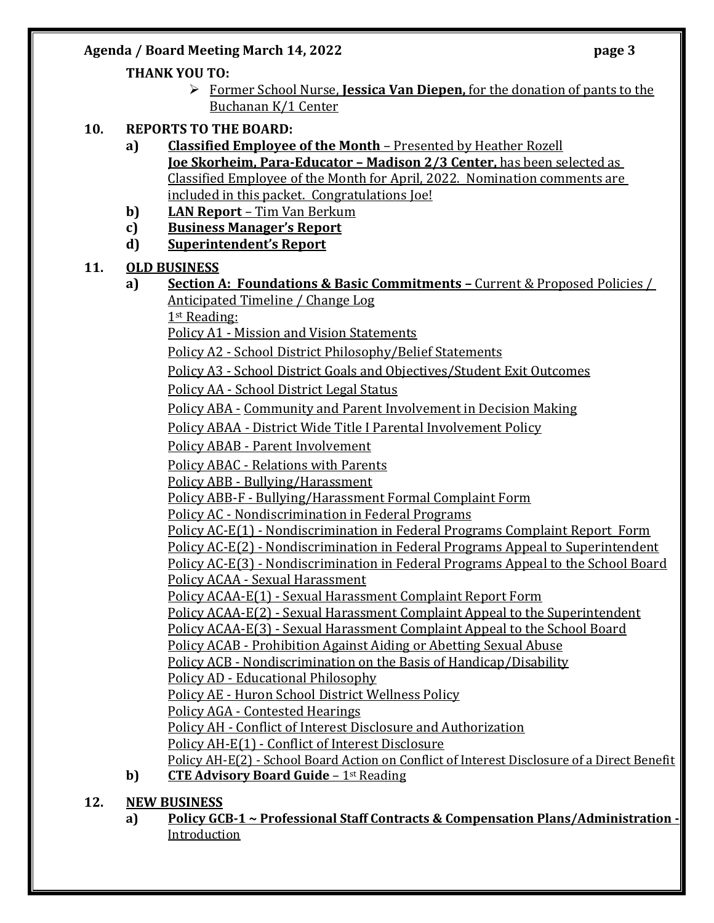### Agenda / Board Meeting March 14, 2022 **page 3**

### **THANK YOU TO:**

- Former School Nurse, **Jessica Van Diepen,** for the donation of pants to the Buchanan K/1 Center
- **10. REPORTS TO THE BOARD:**
	- **a) Classified Employee of the Month** Presented by Heather Rozell **Joe Skorheim, Para-Educator – Madison 2/3 Center,** has been selected as Classified Employee of the Month for April, 2022. Nomination comments are included in this packet. Congratulations Joe!
	- **b) LAN Report**  Tim Van Berkum
	- **c) Business Manager's Report**
	- **d) Superintendent's Report**

### **11. OLD BUSINESS**

**a) Section A: Foundations & Basic Commitments –** Current & Proposed Policies / Anticipated Timeline / Change Log

1st Reading:

Policy A1 - Mission and Vision Statements

Policy A2 - School District Philosophy/Belief Statements

Policy A3 - School District Goals and Objectives/Student Exit Outcomes

Policy AA - School District Legal Status

Policy ABA - Community and Parent Involvement in Decision Making

Policy ABAA - District Wide Title I Parental Involvement Policy

Policy ABAB - Parent Involvement

Policy ABAC - Relations with Parents

Policy ABB - Bullying/Harassment

Policy ABB-F - Bullying/Harassment Formal Complaint Form

Policy AC - Nondiscrimination in Federal Programs

Policy AC-E(1) - Nondiscrimination in Federal Programs Complaint Report Form

Policy AC-E(2) - Nondiscrimination in Federal Programs Appeal to Superintendent

Policy AC-E(3) - Nondiscrimination in Federal Programs Appeal to the School Board Policy ACAA - Sexual Harassment

Policy ACAA-E(1) - Sexual Harassment Complaint Report Form

Policy ACAA-E(2) - Sexual Harassment Complaint Appeal to the Superintendent

Policy ACAA-E(3) - Sexual Harassment Complaint Appeal to the School Board

Policy ACAB - Prohibition Against Aiding or Abetting Sexual Abuse

Policy ACB - Nondiscrimination on the Basis of Handicap/Disability

Policy AD - Educational Philosophy

Policy AE - Huron School District Wellness Policy

Policy AGA - Contested Hearings

Policy AH - Conflict of Interest Disclosure and Authorization

Policy AH-E(1) - Conflict of Interest Disclosure

Policy AH-E(2) - School Board Action on Conflict of Interest Disclosure of a Direct Benefit

**b) CTE Advisory Board Guide** – 1<sup>st</sup> Reading

### **12. NEW BUSINESS**

**a) Policy GCB-1 ~ Professional Staff Contracts & Compensation Plans/Administration -** Introduction